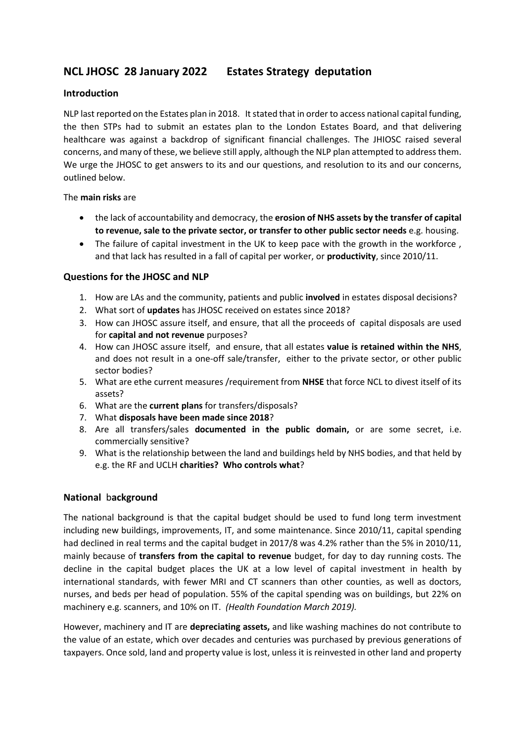# **NCL JHOSC 28 January 2022 Estates Strategy deputation**

## **Introduction**

NLP last reported on the Estates plan in 2018. It stated that in order to access national capital funding, the then STPs had to submit an estates plan to the London Estates Board, and that delivering healthcare was against a backdrop of significant financial challenges. The JHIOSC raised several concerns, and many of these, we believe still apply, although the NLP plan attempted to address them. We urge the JHOSC to get answers to its and our questions, and resolution to its and our concerns, outlined below.

### The **main risks** are

- the lack of accountability and democracy, the **erosion of NHS assets by the transfer of capital to revenue, sale to the private sector, or transfer to other public sector needs** e.g. housing.
- The failure of capital investment in the UK to keep pace with the growth in the workforce , and that lack has resulted in a fall of capital per worker, or **productivity**, since 2010/11.

## **Questions for the JHOSC and NLP**

- 1. How are LAs and the community, patients and public **involved** in estates disposal decisions?
- 2. What sort of **updates** has JHOSC received on estates since 2018?
- 3. How can JHOSC assure itself, and ensure, that all the proceeds of capital disposals are used for **capital and not revenue** purposes?
- 4. How can JHOSC assure itself, and ensure, that all estates **value is retained within the NHS**, and does not result in a one-off sale/transfer, either to the private sector, or other public sector bodies?
- 5. What are ethe current measures /requirement from **NHSE** that force NCL to divest itself of its assets?
- 6. What are the **current plans** for transfers/disposals?
- 7. What **disposals have been made since 2018**?
- 8. Are all transfers/sales **documented in the public domain,** or are some secret, i.e. commercially sensitive?
- 9. What is the relationship between the land and buildings held by NHS bodies, and that held by e.g. the RF and UCLH **charities? Who controls what**?

### **National** b**ackground**

The national background is that the capital budget should be used to fund long term investment including new buildings, improvements, IT, and some maintenance. Since 2010/11, capital spending had declined in real terms and the capital budget in 2017/8 was 4.2% rather than the 5% in 2010/11, mainly because of **transfers from the capital to revenue** budget, for day to day running costs. The decline in the capital budget places the UK at a low level of capital investment in health by international standards, with fewer MRI and CT scanners than other counties, as well as doctors, nurses, and beds per head of population. 55% of the capital spending was on buildings, but 22% on machinery e.g. scanners, and 10% on IT. *(Health Foundation March 2019).* 

However, machinery and IT are **depreciating assets,** and like washing machines do not contribute to the value of an estate, which over decades and centuries was purchased by previous generations of taxpayers. Once sold, land and property value is lost, unless it is reinvested in other land and property